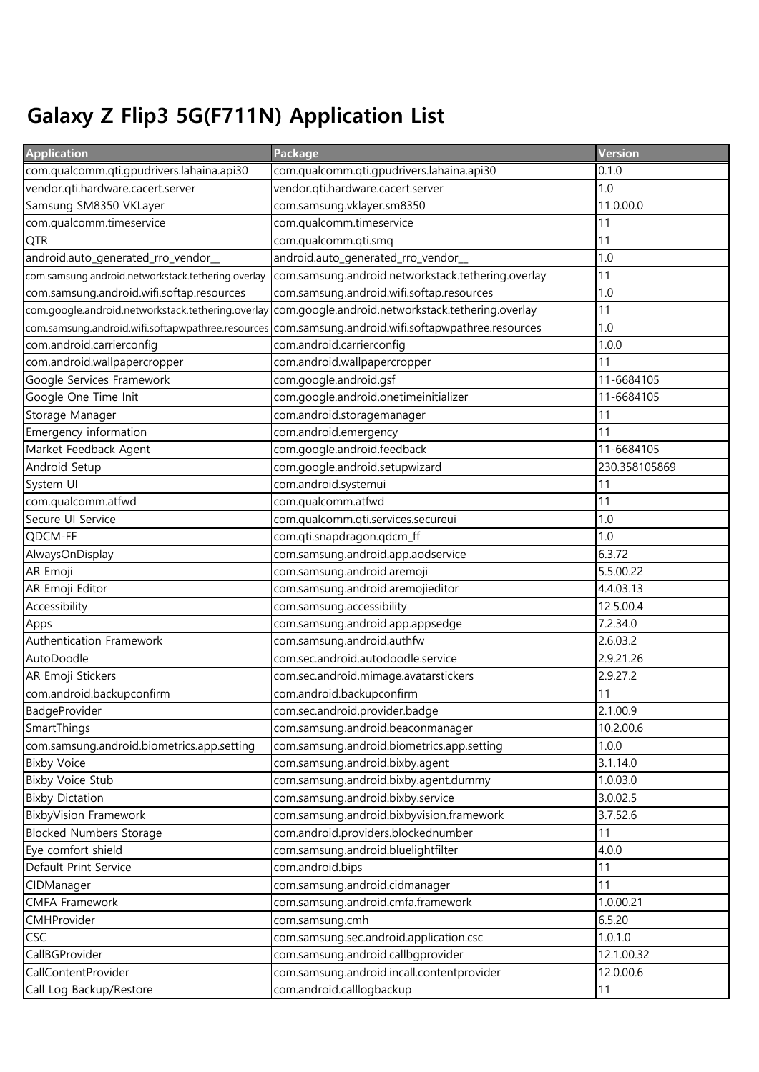## Galaxy Z Flip3 5G(F711N) Application List

| <b>Application</b>                                 | Package                                            | <b>Version</b> |
|----------------------------------------------------|----------------------------------------------------|----------------|
| com.qualcomm.qti.gpudrivers.lahaina.api30          | com.qualcomm.qti.gpudrivers.lahaina.api30          | 0.1.0          |
| vendor.qti.hardware.cacert.server                  | vendor.qti.hardware.cacert.server                  | 1.0            |
| Samsung SM8350 VKLayer                             | com.samsung.vklayer.sm8350                         | 11.0.00.0      |
| com.qualcomm.timeservice                           | com.qualcomm.timeservice                           | 11             |
| QTR                                                | com.qualcomm.qti.smq                               | 11             |
| android.auto_generated_rro_vendor_                 | android.auto_generated_rro_vendor_                 | 1.0            |
| com.samsung.android.networkstack.tethering.overlay | com.samsung.android.networkstack.tethering.overlay | 11             |
| com.samsung.android.wifi.softap.resources          | com.samsung.android.wifi.softap.resources          | 1.0            |
| com.google.android.networkstack.tethering.overlay  | com.google.android.networkstack.tethering.overlay  | 11             |
| com.samsung.android.wifi.softapwpathree.resources  | com.samsung.android.wifi.softapwpathree.resources  | 1.0            |
| com.android.carrierconfig                          | com.android.carrierconfig                          | 1.0.0          |
| com.android.wallpapercropper                       | com.android.wallpapercropper                       | 11             |
| Google Services Framework                          | com.google.android.gsf                             | 11-6684105     |
| Google One Time Init                               | com.google.android.onetimeinitializer              | 11-6684105     |
| Storage Manager                                    | com.android.storagemanager                         | 11             |
| Emergency information                              | com.android.emergency                              | 11             |
| Market Feedback Agent                              | com.google.android.feedback                        | 11-6684105     |
| Android Setup                                      | com.google.android.setupwizard                     | 230.358105869  |
| System UI                                          | com.android.systemui                               | 11             |
| com.qualcomm.atfwd                                 | com.qualcomm.atfwd                                 | 11             |
| Secure UI Service                                  | com.qualcomm.qti.services.secureui                 | 1.0            |
| QDCM-FF                                            | com.qti.snapdragon.qdcm_ff                         | 1.0            |
| AlwaysOnDisplay                                    | com.samsung.android.app.aodservice                 | 6.3.72         |
| AR Emoji                                           | com.samsung.android.aremoji                        | 5.5.00.22      |
| AR Emoji Editor                                    | com.samsung.android.aremojieditor                  | 4.4.03.13      |
| Accessibility                                      | com.samsung.accessibility                          | 12.5.00.4      |
| Apps                                               | com.samsung.android.app.appsedge                   | 7.2.34.0       |
| Authentication Framework                           | com.samsung.android.authfw                         | 2.6.03.2       |
| AutoDoodle                                         | com.sec.android.autodoodle.service                 | 2.9.21.26      |
| AR Emoji Stickers                                  | com.sec.android.mimage.avatarstickers              | 2.9.27.2       |
| com.android.backupconfirm                          | com.android.backupconfirm                          | 11             |
| BadgeProvider                                      | com.sec.android.provider.badge                     | 2.1.00.9       |
| SmartThings                                        | com.samsung.android.beaconmanager                  | 10.2.00.6      |
| com.samsung.android.biometrics.app.setting         | com.samsung.android.biometrics.app.setting         | 1.0.0          |
| <b>Bixby Voice</b>                                 | com.samsung.android.bixby.agent                    | 3.1.14.0       |
| <b>Bixby Voice Stub</b>                            | com.samsung.android.bixby.agent.dummy              | 1.0.03.0       |
| <b>Bixby Dictation</b>                             | com.samsung.android.bixby.service                  | 3.0.02.5       |
| <b>BixbyVision Framework</b>                       | com.samsung.android.bixbyvision.framework          | 3.7.52.6       |
| <b>Blocked Numbers Storage</b>                     | com.android.providers.blockednumber                | 11             |
| Eye comfort shield                                 | com.samsung.android.bluelightfilter                | 4.0.0          |
| Default Print Service                              | com.android.bips                                   | 11             |
| CIDManager                                         | com.samsung.android.cidmanager                     | 11             |
| <b>CMFA Framework</b>                              | com.samsung.android.cmfa.framework                 | 1.0.00.21      |
| CMHProvider                                        | com.samsung.cmh                                    | 6.5.20         |
| CSC                                                | com.samsung.sec.android.application.csc            | 1.0.1.0        |
| CallBGProvider                                     | com.samsung.android.callbgprovider                 | 12.1.00.32     |
| CallContentProvider                                | com.samsung.android.incall.contentprovider         | 12.0.00.6      |
| Call Log Backup/Restore                            | com.android.calllogbackup                          | 11             |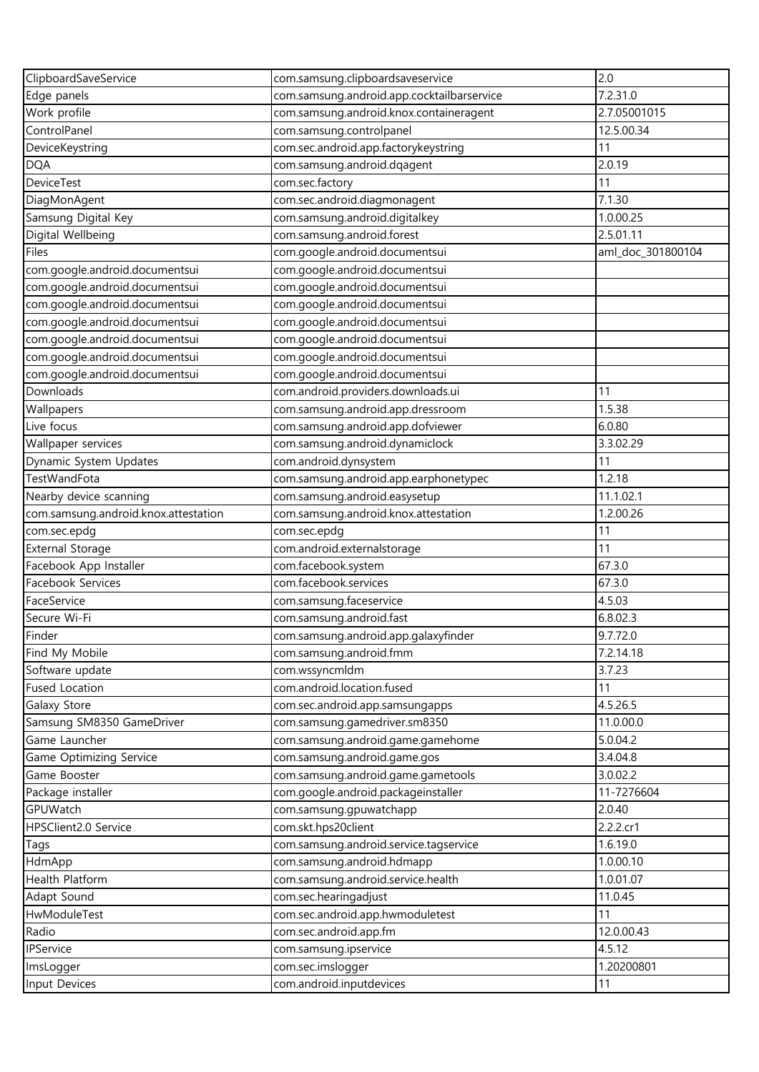| ClipboardSaveService                 | com.samsung.clipboardsaveservice           | 2.0               |
|--------------------------------------|--------------------------------------------|-------------------|
| Edge panels                          | com.samsung.android.app.cocktailbarservice | 7.2.31.0          |
| Work profile                         | com.samsung.android.knox.containeragent    | 2.7.05001015      |
| ControlPanel                         | com.samsung.controlpanel                   | 12.5.00.34        |
| DeviceKeystring                      | com.sec.android.app.factorykeystring       | 11                |
| <b>DQA</b>                           | com.samsung.android.dqagent                | 2.0.19            |
| DeviceTest                           | com.sec.factory                            | 11                |
| DiagMonAgent                         | com.sec.android.diagmonagent               | 7.1.30            |
| Samsung Digital Key                  | com.samsung.android.digitalkey             | 1.0.00.25         |
| Digital Wellbeing                    | com.samsung.android.forest                 | 2.5.01.11         |
| Files                                | com.google.android.documentsui             | aml_doc_301800104 |
| com.google.android.documentsui       | com.google.android.documentsui             |                   |
| com.google.android.documentsui       | com.google.android.documentsui             |                   |
| com.google.android.documentsui       | com.google.android.documentsui             |                   |
| com.google.android.documentsui       | com.google.android.documentsui             |                   |
| com.google.android.documentsui       | com.google.android.documentsui             |                   |
| com.google.android.documentsui       | com.google.android.documentsui             |                   |
| com.google.android.documentsui       | com.google.android.documentsui             |                   |
| Downloads                            | com.android.providers.downloads.ui         | 11                |
| Wallpapers                           | com.samsung.android.app.dressroom          | 1.5.38            |
| Live focus                           | com.samsung.android.app.dofviewer          | 6.0.80            |
| Wallpaper services                   | com.samsung.android.dynamiclock            | 3.3.02.29         |
| Dynamic System Updates               | com.android.dynsystem                      | 11                |
| TestWandFota                         | com.samsung.android.app.earphonetypec      | 1.2.18            |
| Nearby device scanning               | com.samsung.android.easysetup              | 11.1.02.1         |
| com.samsung.android.knox.attestation | com.samsung.android.knox.attestation       | 1.2.00.26         |
| com.sec.epdg                         | com.sec.epdg                               | 11                |
| <b>External Storage</b>              | com.android.externalstorage                | 11                |
| Facebook App Installer               | com.facebook.system                        | 67.3.0            |
| Facebook Services                    | com.facebook.services                      | 67.3.0            |
| FaceService                          | com.samsung.faceservice                    | 4.5.03            |
| Secure Wi-Fi                         | com.samsung.android.fast                   | 6.8.02.3          |
| Finder                               | com.samsung.android.app.galaxyfinder       | 9.7.72.0          |
| Find My Mobile                       | com.samsung.android.fmm                    | 7.2.14.18         |
| Software update                      | com.wssyncmldm                             | 3.7.23            |
| Fused Location                       | com.android.location.fused                 | 11                |
| Galaxy Store                         | com.sec.android.app.samsungapps            | 4.5.26.5          |
| Samsung SM8350 GameDriver            | com.samsung.gamedriver.sm8350              | 11.0.00.0         |
| Game Launcher                        | com.samsung.android.game.gamehome          | 5.0.04.2          |
| Game Optimizing Service              | com.samsung.android.game.gos               | 3.4.04.8          |
| Game Booster                         | com.samsung.android.game.gametools         | 3.0.02.2          |
| Package installer                    | com.google.android.packageinstaller        | 11-7276604        |
| GPUWatch                             | com.samsung.gpuwatchapp                    | 2.0.40            |
| HPSClient2.0 Service                 | com.skt.hps20client                        | 2.2.2.cr1         |
| Tags                                 | com.samsung.android.service.tagservice     | 1.6.19.0          |
| HdmApp                               | com.samsung.android.hdmapp                 | 1.0.00.10         |
| Health Platform                      | com.samsung.android.service.health         | 1.0.01.07         |
| Adapt Sound                          | com.sec.hearingadjust                      | 11.0.45           |
| HwModuleTest                         | com.sec.android.app.hwmoduletest           | 11                |
| Radio                                | com.sec.android.app.fm                     | 12.0.00.43        |
| IPService                            | com.samsung.ipservice                      | 4.5.12            |
| ImsLogger                            | com.sec.imslogger                          | 1.20200801        |
| Input Devices                        | com.android.inputdevices                   | 11                |
|                                      |                                            |                   |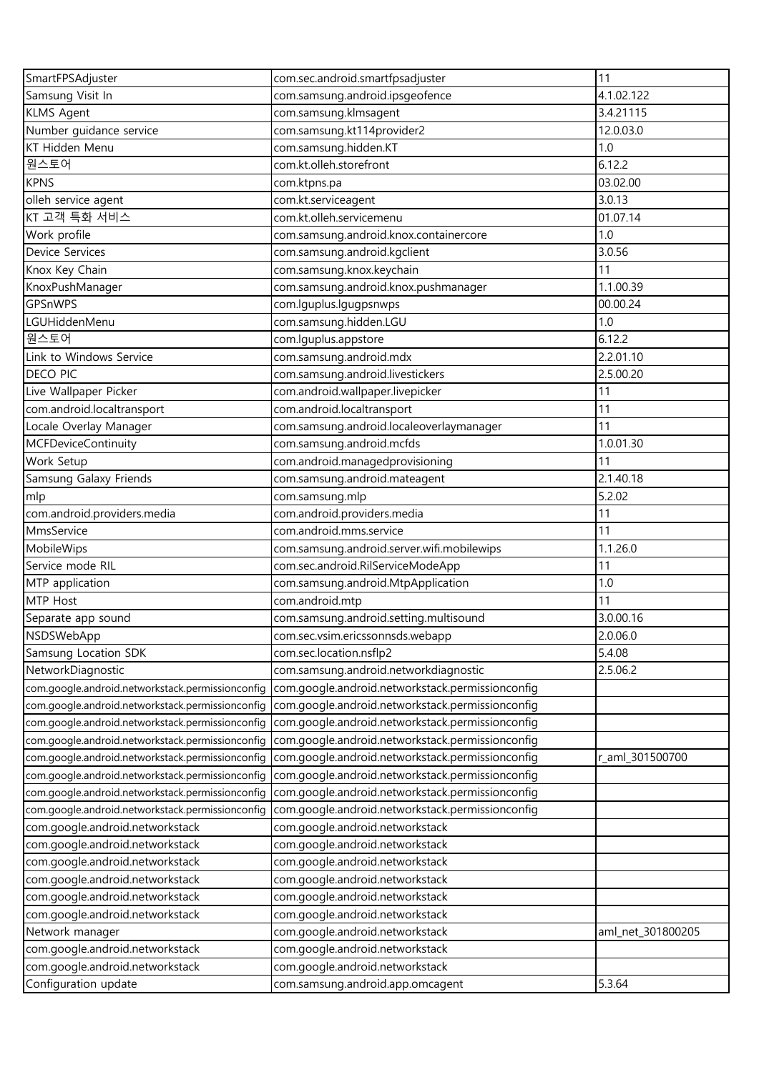| SmartFPSAdjuster                                                                                     | com.sec.android.smartfpsadjuster                                                          | 11                |
|------------------------------------------------------------------------------------------------------|-------------------------------------------------------------------------------------------|-------------------|
| Samsung Visit In                                                                                     | com.samsung.android.ipsgeofence                                                           | 4.1.02.122        |
| <b>KLMS Agent</b>                                                                                    | com.samsung.klmsagent                                                                     | 3.4.21115         |
| Number guidance service                                                                              | com.samsung.kt114provider2                                                                | 12.0.03.0         |
| KT Hidden Menu                                                                                       | com.samsung.hidden.KT                                                                     | 1.0               |
| 원스토어                                                                                                 | com.kt.olleh.storefront                                                                   | 6.12.2            |
| <b>KPNS</b>                                                                                          | com.ktpns.pa                                                                              | 03.02.00          |
| olleh service agent                                                                                  | com.kt.serviceagent                                                                       | 3.0.13            |
| KT 고객 특화 서비스                                                                                         | com.kt.olleh.servicemenu                                                                  | 01.07.14          |
| Work profile                                                                                         | com.samsung.android.knox.containercore                                                    | 1.0               |
| Device Services                                                                                      | com.samsung.android.kgclient                                                              | 3.0.56            |
| Knox Key Chain                                                                                       | com.samsung.knox.keychain                                                                 | 11                |
| KnoxPushManager                                                                                      | com.samsung.android.knox.pushmanager                                                      | 1.1.00.39         |
| GPSnWPS                                                                                              | com.lguplus.lgugpsnwps                                                                    | 00.00.24          |
| <b>LGUHiddenMenu</b>                                                                                 | com.samsung.hidden.LGU                                                                    | 1.0               |
| 원스토어                                                                                                 | com.lguplus.appstore                                                                      | 6.12.2            |
| Link to Windows Service                                                                              | com.samsung.android.mdx                                                                   | 2.2.01.10         |
| <b>DECO PIC</b>                                                                                      | com.samsung.android.livestickers                                                          | 2.5.00.20         |
| Live Wallpaper Picker                                                                                | com.android.wallpaper.livepicker                                                          | 11                |
| com.android.localtransport                                                                           | com.android.localtransport                                                                | 11                |
| Locale Overlay Manager                                                                               | com.samsung.android.localeoverlaymanager                                                  | 11                |
| <b>MCFDeviceContinuity</b>                                                                           | com.samsung.android.mcfds                                                                 | 1.0.01.30         |
| Work Setup                                                                                           | com.android.managedprovisioning                                                           | 11                |
| Samsung Galaxy Friends                                                                               | com.samsung.android.mateagent                                                             | 2.1.40.18         |
| mlp                                                                                                  | com.samsung.mlp                                                                           | 5.2.02            |
| com.android.providers.media                                                                          | com.android.providers.media                                                               | 11                |
| MmsService                                                                                           | com.android.mms.service                                                                   | 11                |
| MobileWips                                                                                           | com.samsung.android.server.wifi.mobilewips                                                | 1.1.26.0          |
| Service mode RIL                                                                                     | com.sec.android.RilServiceModeApp                                                         | 11                |
| MTP application                                                                                      | com.samsung.android.MtpApplication                                                        | 1.0               |
| MTP Host                                                                                             | com.android.mtp                                                                           | 11                |
| Separate app sound                                                                                   | com.samsung.android.setting.multisound                                                    | 3.0.00.16         |
| NSDSWebApp                                                                                           | com.sec.vsim.ericssonnsds.webapp                                                          | 2.0.06.0          |
| Samsung Location SDK                                                                                 | com.sec.location.nsflp2                                                                   | 5.4.08            |
| NetworkDiagnostic                                                                                    |                                                                                           | 2.5.06.2          |
|                                                                                                      | com.samsung.android.networkdiagnostic<br>com.google.android.networkstack.permissionconfig |                   |
| com.google.android.networkstack.permissionconfiq<br>com.google.android.networkstack.permissionconfig | com.google.android.networkstack.permissionconfig                                          |                   |
| com.google.android.networkstack.permissionconfig                                                     | com.google.android.networkstack.permissionconfig                                          |                   |
| com.google.android.networkstack.permissionconfig                                                     | com.google.android.networkstack.permissionconfig                                          |                   |
| com.google.android.networkstack.permissionconfig                                                     | com.google.android.networkstack.permissionconfig                                          | r_aml_301500700   |
| com.google.android.networkstack.permissionconfig                                                     | com.google.android.networkstack.permissionconfig                                          |                   |
| com.google.android.networkstack.permissionconfig                                                     | com.google.android.networkstack.permissionconfig                                          |                   |
| com.google.android.networkstack.permissionconfig                                                     | com.google.android.networkstack.permissionconfig                                          |                   |
| com.google.android.networkstack                                                                      | com.google.android.networkstack                                                           |                   |
| com.google.android.networkstack                                                                      | com.google.android.networkstack                                                           |                   |
|                                                                                                      |                                                                                           |                   |
| com.google.android.networkstack<br>com.google.android.networkstack                                   | com.google.android.networkstack<br>com.google.android.networkstack                        |                   |
|                                                                                                      |                                                                                           |                   |
| com.google.android.networkstack                                                                      | com.google.android.networkstack                                                           |                   |
| com.google.android.networkstack                                                                      | com.google.android.networkstack                                                           |                   |
| Network manager                                                                                      | com.google.android.networkstack                                                           | aml_net_301800205 |
| com.google.android.networkstack                                                                      | com.google.android.networkstack                                                           |                   |
| com.google.android.networkstack                                                                      | com.google.android.networkstack                                                           |                   |
| Configuration update                                                                                 | com.samsung.android.app.omcagent                                                          | 5.3.64            |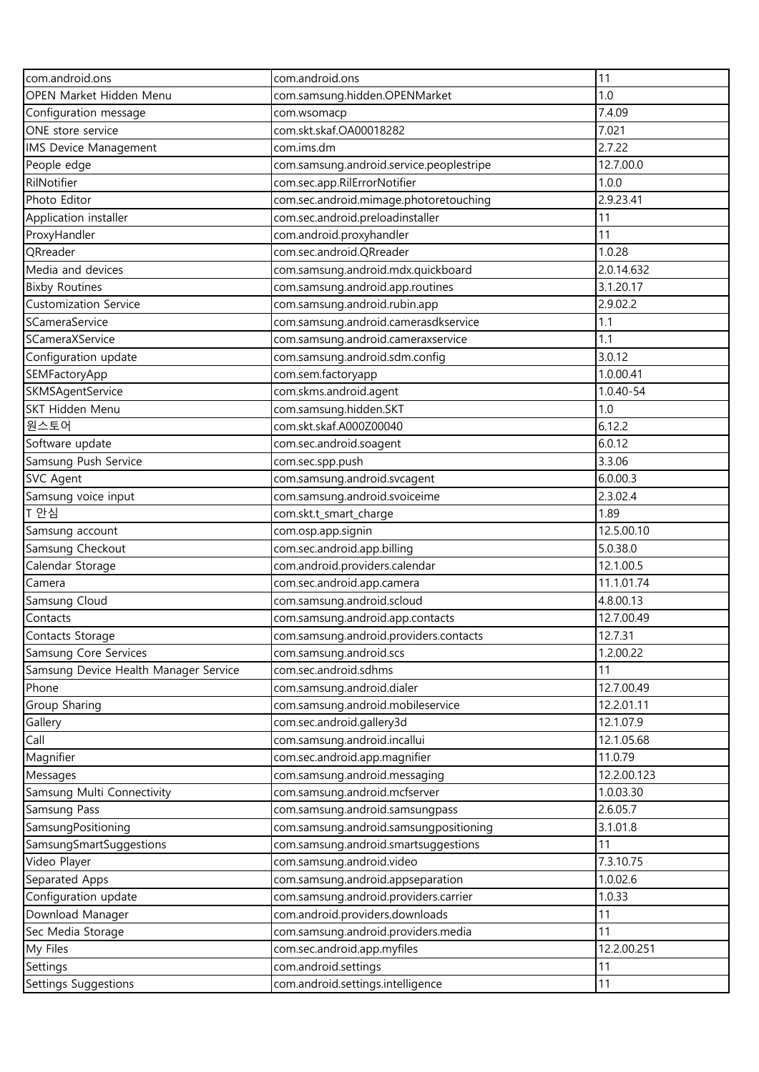| com.android.ons                       | com.android.ons                                                 | 11          |
|---------------------------------------|-----------------------------------------------------------------|-------------|
| OPEN Market Hidden Menu               | com.samsung.hidden.OPENMarket                                   | 1.0         |
| Configuration message                 | com.wsomacp                                                     | 7.4.09      |
| ONE store service                     | com.skt.skaf.OA00018282                                         | 7.021       |
| IMS Device Management                 | com.ims.dm                                                      | 2.7.22      |
| People edge                           | com.samsung.android.service.peoplestripe                        | 12.7.00.0   |
| RilNotifier                           | com.sec.app.RilErrorNotifier                                    | 1.0.0       |
| Photo Editor                          | com.sec.android.mimage.photoretouching                          | 2.9.23.41   |
| Application installer                 | com.sec.android.preloadinstaller                                | 11          |
| ProxyHandler                          | com.android.proxyhandler                                        | 11          |
| QRreader                              | com.sec.android.QRreader                                        | 1.0.28      |
| Media and devices                     | com.samsung.android.mdx.quickboard                              | 2.0.14.632  |
| <b>Bixby Routines</b>                 | com.samsung.android.app.routines                                | 3.1.20.17   |
| <b>Customization Service</b>          | com.samsung.android.rubin.app                                   | 2.9.02.2    |
| SCameraService                        | com.samsung.android.camerasdkservice                            | 1.1         |
| SCameraXService                       | com.samsung.android.cameraxservice                              | 1.1         |
| Configuration update                  | com.samsung.android.sdm.config                                  | 3.0.12      |
| SEMFactoryApp                         | com.sem.factoryapp                                              | 1.0.00.41   |
| SKMSAgentService                      | com.skms.android.agent                                          | 1.0.40-54   |
| SKT Hidden Menu                       | com.samsung.hidden.SKT                                          | 1.0         |
| 원스토어                                  | com.skt.skaf.A000Z00040                                         | 6.12.2      |
| Software update                       | com.sec.android.soagent                                         | 6.0.12      |
| Samsung Push Service                  | com.sec.spp.push                                                | 3.3.06      |
| <b>SVC Agent</b>                      | com.samsung.android.svcagent                                    | 6.0.00.3    |
| Samsung voice input                   | com.samsung.android.svoiceime                                   | 2.3.02.4    |
| T 안심                                  | com.skt.t_smart_charge                                          | 1.89        |
| Samsung account                       | com.osp.app.signin                                              | 12.5.00.10  |
| Samsung Checkout                      | com.sec.android.app.billing                                     | 5.0.38.0    |
| Calendar Storage                      | com.android.providers.calendar                                  | 12.1.00.5   |
| Camera                                | com.sec.android.app.camera                                      | 11.1.01.74  |
| Samsung Cloud                         | com.samsung.android.scloud                                      | 4.8.00.13   |
| Contacts                              | com.samsung.android.app.contacts                                | 12.7.00.49  |
| Contacts Storage                      | com.samsung.android.providers.contacts                          | 12.7.31     |
| Samsung Core Services                 | com.samsung.android.scs                                         | 1.2.00.22   |
| Samsung Device Health Manager Service | com.sec.android.sdhms                                           | 11          |
| Phone                                 |                                                                 | 12.7.00.49  |
| Group Sharing                         | com.samsung.android.dialer<br>com.samsung.android.mobileservice | 12.2.01.11  |
|                                       |                                                                 | 12.1.07.9   |
| Gallery<br>Call                       | com.sec.android.gallery3d<br>com.samsung.android.incallui       | 12.1.05.68  |
| Magnifier                             |                                                                 | 11.0.79     |
|                                       | com.sec.android.app.magnifier                                   |             |
| Messages                              | com.samsung.android.messaging                                   | 12.2.00.123 |
| Samsung Multi Connectivity            | com.samsung.android.mcfserver                                   | 1.0.03.30   |
| Samsung Pass                          | com.samsung.android.samsungpass                                 | 2.6.05.7    |
| SamsungPositioning                    | com.samsung.android.samsungpositioning                          | 3.1.01.8    |
| SamsungSmartSuggestions               | com.samsung.android.smartsuggestions                            | 11          |
| Video Player                          | com.samsung.android.video                                       | 7.3.10.75   |
| Separated Apps                        | com.samsung.android.appseparation                               | 1.0.02.6    |
| Configuration update                  | com.samsung.android.providers.carrier                           | 1.0.33      |
| Download Manager                      | com.android.providers.downloads                                 | 11          |
| Sec Media Storage                     | com.samsung.android.providers.media                             | 11          |
| My Files                              | com.sec.android.app.myfiles                                     | 12.2.00.251 |
| Settings                              | com.android.settings                                            | 11          |
| Settings Suggestions                  | com.android.settings.intelligence                               | 11          |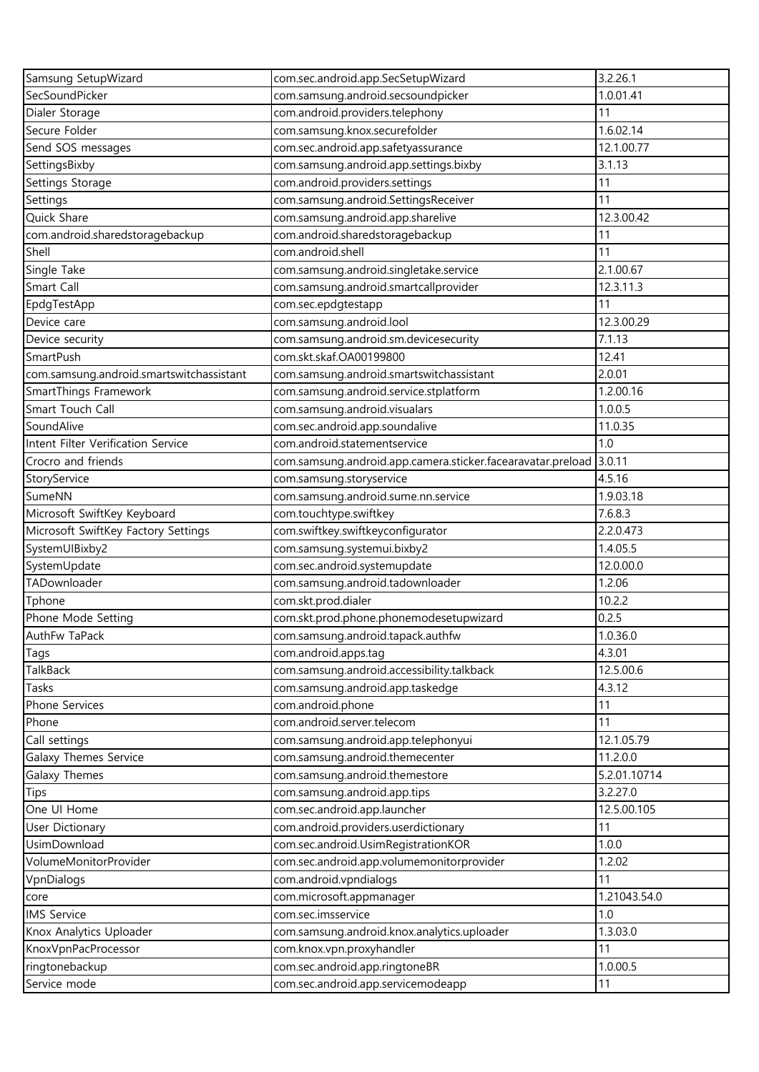| Samsung SetupWizard                      | com.sec.android.app.SecSetupWizard                          | 3.2.26.1     |
|------------------------------------------|-------------------------------------------------------------|--------------|
| SecSoundPicker                           | com.samsung.android.secsoundpicker                          | 1.0.01.41    |
| Dialer Storage                           | com.android.providers.telephony                             | 11           |
| Secure Folder                            | com.samsung.knox.securefolder                               | 1.6.02.14    |
| Send SOS messages                        | com.sec.android.app.safetyassurance                         | 12.1.00.77   |
| SettingsBixby                            | com.samsung.android.app.settings.bixby                      | 3.1.13       |
| Settings Storage                         | com.android.providers.settings                              | 11           |
| Settings                                 | com.samsung.android.SettingsReceiver                        | 11           |
| Quick Share                              | com.samsung.android.app.sharelive                           | 12.3.00.42   |
| com.android.sharedstoragebackup          | com.android.sharedstoragebackup                             | 11           |
| Shell                                    | com.android.shell                                           | 11           |
| Single Take                              | com.samsung.android.singletake.service                      | 2.1.00.67    |
| Smart Call                               | com.samsung.android.smartcallprovider                       | 12.3.11.3    |
| EpdgTestApp                              | com.sec.epdgtestapp                                         | 11           |
| Device care                              | com.samsung.android.lool                                    | 12.3.00.29   |
| Device security                          | com.samsung.android.sm.devicesecurity                       | 7.1.13       |
| SmartPush                                | com.skt.skaf.OA00199800                                     | 12.41        |
| com.samsung.android.smartswitchassistant | com.samsung.android.smartswitchassistant                    | 2.0.01       |
| SmartThings Framework                    | com.samsung.android.service.stplatform                      | 1.2.00.16    |
| Smart Touch Call                         | com.samsung.android.visualars                               | 1.0.0.5      |
| SoundAlive                               | com.sec.android.app.soundalive                              | 11.0.35      |
| Intent Filter Verification Service       | com.android.statementservice                                | 1.0          |
| Crocro and friends                       | com.samsung.android.app.camera.sticker.facearavatar.preload | 3.0.11       |
| StoryService                             | com.samsung.storyservice                                    | 4.5.16       |
| SumeNN                                   | com.samsung.android.sume.nn.service                         | 1.9.03.18    |
|                                          |                                                             | 7.6.8.3      |
| Microsoft SwiftKey Keyboard              | com.touchtype.swiftkey<br>com.swiftkey.swiftkeyconfigurator | 2.2.0.473    |
| Microsoft SwiftKey Factory Settings      |                                                             | 1.4.05.5     |
| SystemUIBixby2<br>SystemUpdate           | com.samsung.systemui.bixby2<br>com.sec.android.systemupdate | 12.0.00.0    |
| TADownloader                             |                                                             | 1.2.06       |
|                                          | com.samsung.android.tadownloader<br>com.skt.prod.dialer     | 10.2.2       |
| Tphone                                   |                                                             |              |
| Phone Mode Setting                       | com.skt.prod.phone.phonemodesetupwizard                     | 0.2.5        |
| AuthFw TaPack                            | com.samsung.android.tapack.authfw                           | 1.0.36.0     |
| Tags                                     | com.android.apps.tag                                        | 4.3.01       |
| <b>TalkBack</b>                          | com.samsung.android.accessibility.talkback                  | 12.5.00.6    |
| Tasks                                    | com.samsung.android.app.taskedge                            | 4.3.12       |
| Phone Services                           | com.android.phone                                           | 11           |
| Phone                                    | com.android.server.telecom                                  | 11           |
| Call settings                            | com.samsung.android.app.telephonyui                         | 12.1.05.79   |
| Galaxy Themes Service                    | com.samsung.android.themecenter                             | 11.2.0.0     |
| Galaxy Themes                            | com.samsung.android.themestore                              | 5.2.01.10714 |
| Tips                                     | com.samsung.android.app.tips                                | 3.2.27.0     |
| One UI Home                              | com.sec.android.app.launcher                                | 12.5.00.105  |
| <b>User Dictionary</b>                   | com.android.providers.userdictionary                        | 11           |
| UsimDownload                             | com.sec.android.UsimRegistrationKOR                         | 1.0.0        |
| VolumeMonitorProvider                    | com.sec.android.app.volumemonitorprovider                   | 1.2.02       |
| VpnDialogs                               | com.android.vpndialogs                                      | 11           |
| core                                     | com.microsoft.appmanager                                    | 1.21043.54.0 |
| <b>IMS Service</b>                       | com.sec.imsservice                                          | 1.0          |
| Knox Analytics Uploader                  | com.samsung.android.knox.analytics.uploader                 | 1.3.03.0     |
| KnoxVpnPacProcessor                      | com.knox.vpn.proxyhandler                                   | 11           |
| ringtonebackup                           | com.sec.android.app.ringtoneBR                              | 1.0.00.5     |
| Service mode                             | com.sec.android.app.servicemodeapp                          | 11           |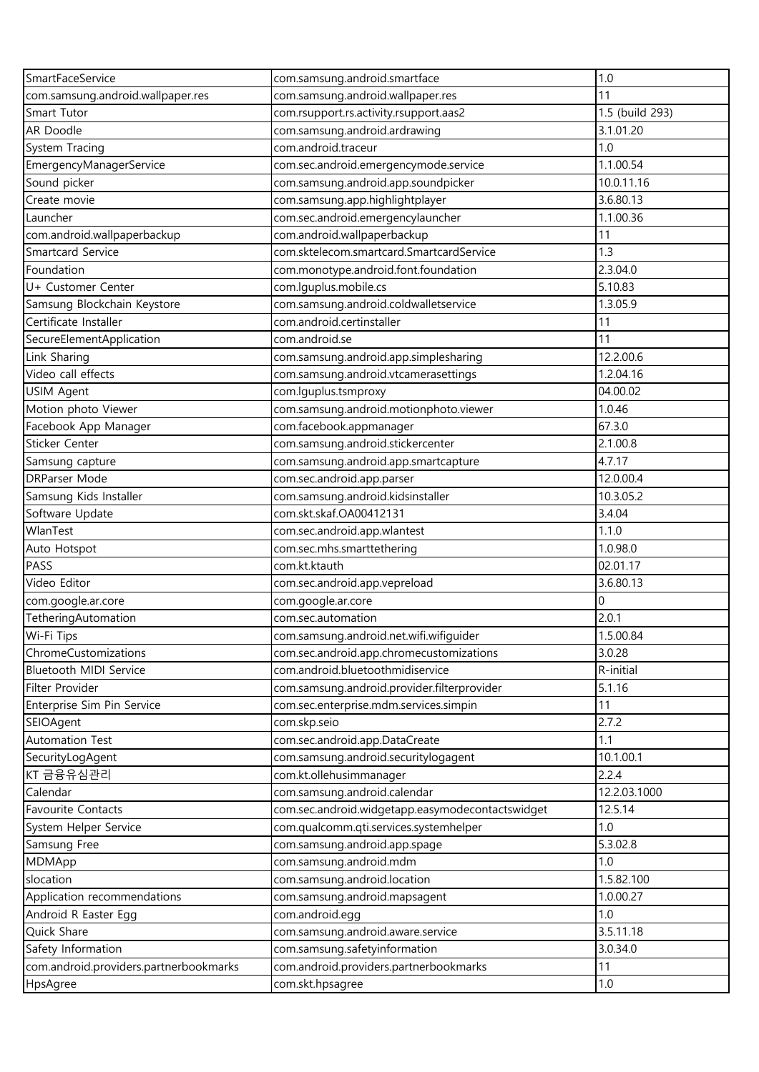| SmartFaceService                       | com.samsung.android.smartface                    | 1.0             |
|----------------------------------------|--------------------------------------------------|-----------------|
| com.samsung.android.wallpaper.res      | com.samsung.android.wallpaper.res                | 11              |
| Smart Tutor                            | com.rsupport.rs.activity.rsupport.aas2           | 1.5 (build 293) |
| AR Doodle                              | com.samsung.android.ardrawing                    | 3.1.01.20       |
| System Tracing                         | com.android.traceur                              | 1.0             |
| EmergencyManagerService                | com.sec.android.emergencymode.service            | 1.1.00.54       |
| Sound picker                           | com.samsung.android.app.soundpicker              | 10.0.11.16      |
| Create movie                           | com.samsung.app.highlightplayer                  | 3.6.80.13       |
| Launcher                               | com.sec.android.emergencylauncher                | 1.1.00.36       |
| com.android.wallpaperbackup            | com.android.wallpaperbackup                      | 11              |
| <b>Smartcard Service</b>               | com.sktelecom.smartcard.SmartcardService         | 1.3             |
| Foundation                             | com.monotype.android.font.foundation             | 2.3.04.0        |
| U+ Customer Center                     | com.lguplus.mobile.cs                            | 5.10.83         |
| Samsung Blockchain Keystore            | com.samsung.android.coldwalletservice            | 1.3.05.9        |
| Certificate Installer                  | com.android.certinstaller                        | 11              |
| SecureElementApplication               | com.android.se                                   | 11              |
| Link Sharing                           | com.samsung.android.app.simplesharing            | 12.2.00.6       |
| Video call effects                     | com.samsung.android.vtcamerasettings             | 1.2.04.16       |
| USIM Agent                             | com.lguplus.tsmproxy                             | 04.00.02        |
| Motion photo Viewer                    | com.samsung.android.motionphoto.viewer           | 1.0.46          |
| Facebook App Manager                   | com.facebook.appmanager                          | 67.3.0          |
| Sticker Center                         | com.samsung.android.stickercenter                | 2.1.00.8        |
| Samsung capture                        | com.samsung.android.app.smartcapture             | 4.7.17          |
| <b>DRParser Mode</b>                   | com.sec.android.app.parser                       | 12.0.00.4       |
| Samsung Kids Installer                 | com.samsung.android.kidsinstaller                | 10.3.05.2       |
| Software Update                        | com.skt.skaf.OA00412131                          | 3.4.04          |
| WlanTest                               | com.sec.android.app.wlantest                     | 1.1.0           |
| Auto Hotspot                           | com.sec.mhs.smarttethering                       | 1.0.98.0        |
| PASS                                   | com.kt.ktauth                                    | 02.01.17        |
| Video Editor                           | com.sec.android.app.vepreload                    | 3.6.80.13       |
| com.google.ar.core                     | com.google.ar.core                               | 0               |
| TetheringAutomation                    | com.sec.automation                               | 2.0.1           |
| Wi-Fi Tips                             | com.samsung.android.net.wifi.wifiguider          | 1.5.00.84       |
| ChromeCustomizations                   | com.sec.android.app.chromecustomizations         | 3.0.28          |
| Bluetooth MIDI Service                 | com.android.bluetoothmidiservice                 | R-initial       |
| Filter Provider                        | com.samsung.android.provider.filterprovider      | 5.1.16          |
| Enterprise Sim Pin Service             | com.sec.enterprise.mdm.services.simpin           | 11              |
| SEIOAgent                              | com.skp.seio                                     | 2.7.2           |
| Automation Test                        | com.sec.android.app.DataCreate                   | 1.1             |
| SecurityLogAgent                       | com.samsung.android.securitylogagent             | 10.1.00.1       |
| KT 금융유심관리                              | com.kt.ollehusimmanager                          | 2.2.4           |
| Calendar                               | com.samsung.android.calendar                     | 12.2.03.1000    |
| Favourite Contacts                     | com.sec.android.widgetapp.easymodecontactswidget | 12.5.14         |
| System Helper Service                  | com.qualcomm.qti.services.systemhelper           | 1.0             |
| Samsung Free                           | com.samsung.android.app.spage                    | 5.3.02.8        |
| MDMApp                                 | com.samsung.android.mdm                          | 1.0             |
| slocation                              | com.samsung.android.location                     | 1.5.82.100      |
| Application recommendations            | com.samsung.android.mapsagent                    | 1.0.00.27       |
| Android R Easter Egg                   | com.android.egg                                  | 1.0             |
| Quick Share                            | com.samsung.android.aware.service                | 3.5.11.18       |
| Safety Information                     | com.samsung.safetyinformation                    | 3.0.34.0        |
| com.android.providers.partnerbookmarks | com.android.providers.partnerbookmarks           | 11              |
| HpsAgree                               | com.skt.hpsagree                                 | 1.0             |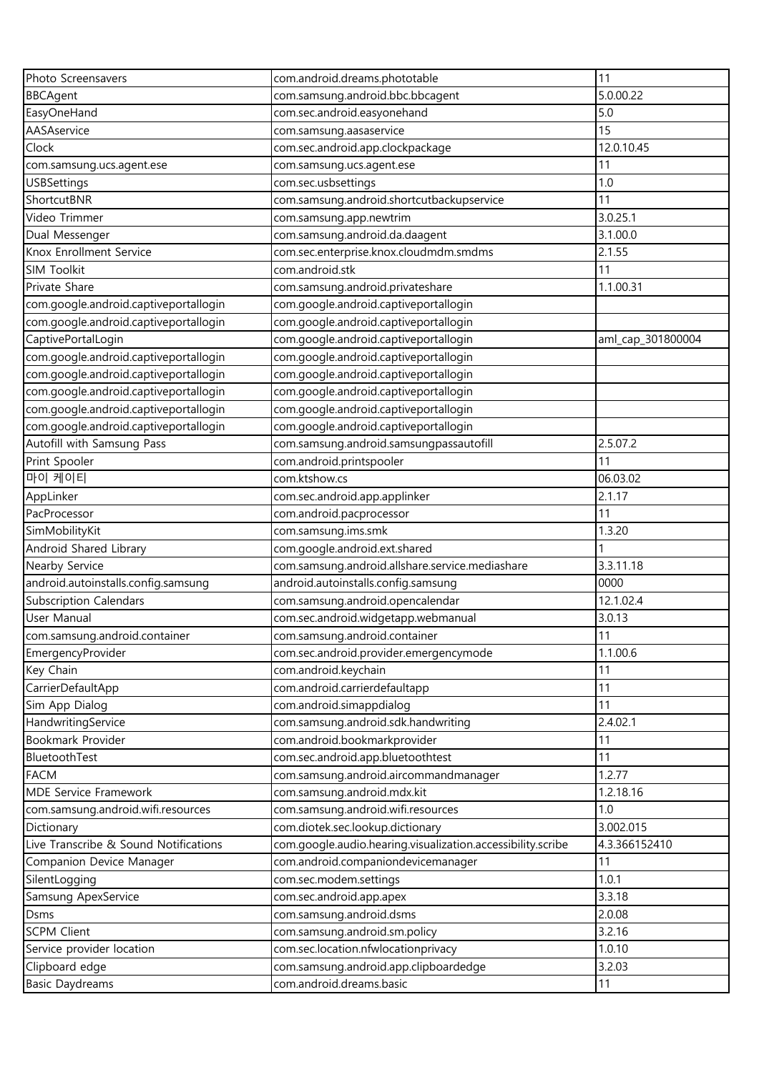| Photo Screensavers                    | com.android.dreams.phototable                               | 11                |
|---------------------------------------|-------------------------------------------------------------|-------------------|
| <b>BBCAgent</b>                       | com.samsung.android.bbc.bbcagent                            | 5.0.00.22         |
| EasyOneHand                           | com.sec.android.easyonehand                                 | 5.0               |
| AASAservice                           | com.samsung.aasaservice                                     | 15                |
| Clock                                 | com.sec.android.app.clockpackage                            | 12.0.10.45        |
| com.samsung.ucs.agent.ese             | com.samsung.ucs.agent.ese                                   | 11                |
| <b>USBSettings</b>                    | com.sec.usbsettings                                         | 1.0               |
| ShortcutBNR                           | com.samsung.android.shortcutbackupservice                   | 11                |
| Video Trimmer                         | com.samsung.app.newtrim                                     | 3.0.25.1          |
| Dual Messenger                        | com.samsung.android.da.daagent                              | 3.1.00.0          |
| Knox Enrollment Service               | com.sec.enterprise.knox.cloudmdm.smdms                      | 2.1.55            |
| SIM Toolkit                           | com.android.stk                                             | 11                |
| Private Share                         | com.samsung.android.privateshare                            | 1.1.00.31         |
| com.google.android.captiveportallogin | com.google.android.captiveportallogin                       |                   |
| com.google.android.captiveportallogin | com.google.android.captiveportallogin                       |                   |
| CaptivePortalLogin                    | com.google.android.captiveportallogin                       | aml_cap_301800004 |
| com.google.android.captiveportallogin | com.google.android.captiveportallogin                       |                   |
| com.google.android.captiveportallogin | com.google.android.captiveportallogin                       |                   |
| com.google.android.captiveportallogin | com.google.android.captiveportallogin                       |                   |
| com.google.android.captiveportallogin | com.google.android.captiveportallogin                       |                   |
| com.google.android.captiveportallogin | com.google.android.captiveportallogin                       |                   |
| Autofill with Samsung Pass            | com.samsung.android.samsungpassautofill                     | 2.5.07.2          |
| Print Spooler                         | com.android.printspooler                                    | 11                |
| 마이 케이티                                | com.ktshow.cs                                               | 06.03.02          |
| AppLinker                             | com.sec.android.app.applinker                               | 2.1.17            |
| PacProcessor                          | com.android.pacprocessor                                    | 11                |
| SimMobilityKit                        | com.samsung.ims.smk                                         | 1.3.20            |
| Android Shared Library                | com.google.android.ext.shared                               |                   |
| Nearby Service                        | com.samsung.android.allshare.service.mediashare             | 3.3.11.18         |
| android.autoinstalls.config.samsung   | android.autoinstalls.config.samsung                         | 0000              |
| <b>Subscription Calendars</b>         | com.samsung.android.opencalendar                            | 12.1.02.4         |
| User Manual                           | com.sec.android.widgetapp.webmanual                         | 3.0.13            |
| com.samsung.android.container         | com.samsung.android.container                               | 11                |
| EmergencyProvider                     | com.sec.android.provider.emergencymode                      | 1.1.00.6          |
| Key Chain                             | com.android.keychain                                        | 11                |
| CarrierDefaultApp                     | com.android.carrierdefaultapp                               | 11                |
| Sim App Dialog                        | com.android.simappdialog                                    | 11                |
| HandwritingService                    | com.samsung.android.sdk.handwriting                         | 2.4.02.1          |
| Bookmark Provider                     | com.android.bookmarkprovider                                | 11                |
| BluetoothTest                         | com.sec.android.app.bluetoothtest                           | 11                |
| <b>FACM</b>                           | com.samsung.android.aircommandmanager                       | 1.2.77            |
| MDE Service Framework                 | com.samsung.android.mdx.kit                                 | 1.2.18.16         |
| com.samsung.android.wifi.resources    | com.samsung.android.wifi.resources                          | 1.0               |
| Dictionary                            | com.diotek.sec.lookup.dictionary                            | 3.002.015         |
| Live Transcribe & Sound Notifications | com.google.audio.hearing.visualization.accessibility.scribe | 4.3.366152410     |
| Companion Device Manager              | com.android.companiondevicemanager                          | 11                |
| SilentLogging                         | com.sec.modem.settings                                      | 1.0.1             |
| Samsung ApexService                   | com.sec.android.app.apex                                    | 3.3.18            |
| Dsms                                  | com.samsung.android.dsms                                    | 2.0.08            |
| <b>SCPM Client</b>                    | com.samsung.android.sm.policy                               | 3.2.16            |
| Service provider location             | com.sec.location.nfwlocationprivacy                         | 1.0.10            |
| Clipboard edge                        | com.samsung.android.app.clipboardedge                       | 3.2.03            |
| <b>Basic Daydreams</b>                | com.android.dreams.basic                                    | 11                |
|                                       |                                                             |                   |